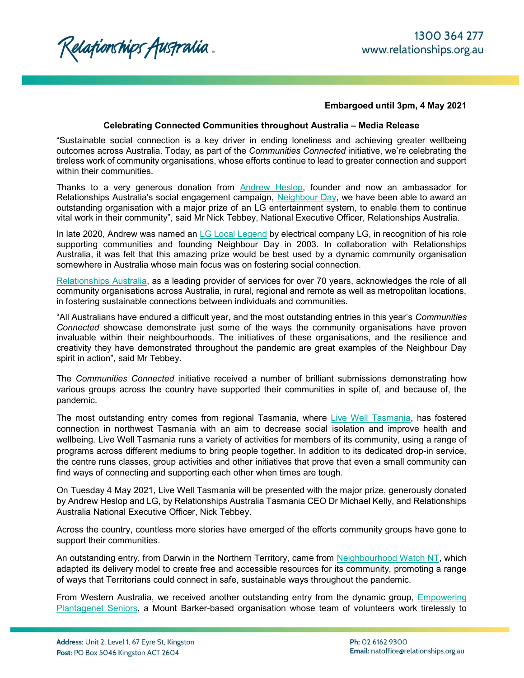Relationships Australia.

## Embargoed until 3pm, 4 May 2021

## Celebrating Connected Communities throughout Australia – Media Release

"Sustainable social connection is a key driver in ending loneliness and achieving greater wellbeing outcomes across Australia. Today, as part of the Communities Connected initiative, we're celebrating the tireless work of community organisations, whose efforts continue to lead to greater connection and support within their communities.

Thanks to a very generous donation from Andrew Heslop, founder and now an ambassador for Relationships Australia's social engagement campaign, Neighbour Day, we have been able to award an outstanding organisation with a major prize of an LG entertainment system, to enable them to continue vital work in their community", said Mr Nick Tebbey, National Executive Officer, Relationships Australia.

In late 2020, Andrew was named an LG Local Legend by electrical company LG, in recognition of his role supporting communities and founding Neighbour Day in 2003. In collaboration with Relationships Australia, it was felt that this amazing prize would be best used by a dynamic community organisation somewhere in Australia whose main focus was on fostering social connection.

Relationships Australia, as a leading provider of services for over 70 years, acknowledges the role of all community organisations across Australia, in rural, regional and remote as well as metropolitan locations, in fostering sustainable connections between individuals and communities.

"All Australians have endured a difficult year, and the most outstanding entries in this year's Communities Connected showcase demonstrate just some of the ways the community organisations have proven invaluable within their neighbourhoods. The initiatives of these organisations, and the resilience and creativity they have demonstrated throughout the pandemic are great examples of the Neighbour Day spirit in action", said Mr Tebbey.

The Communities Connected initiative received a number of brilliant submissions demonstrating how various groups across the country have supported their communities in spite of, and because of, the pandemic.

The most outstanding entry comes from regional Tasmania, where Live Well Tasmania, has fostered connection in northwest Tasmania with an aim to decrease social isolation and improve health and wellbeing. Live Well Tasmania runs a variety of activities for members of its community, using a range of programs across different mediums to bring people together. In addition to its dedicated drop-in service, the centre runs classes, group activities and other initiatives that prove that even a small community can find ways of connecting and supporting each other when times are tough.

On Tuesday 4 May 2021, Live Well Tasmania will be presented with the major prize, generously donated by Andrew Heslop and LG, by Relationships Australia Tasmania CEO Dr Michael Kelly, and Relationships Australia National Executive Officer, Nick Tebbey.

Across the country, countless more stories have emerged of the efforts community groups have gone to support their communities.

An outstanding entry, from Darwin in the Northern Territory, came from Neighbourhood Watch NT, which adapted its delivery model to create free and accessible resources for its community, promoting a range of ways that Territorians could connect in safe, sustainable ways throughout the pandemic.

From Western Australia, we received another outstanding entry from the dynamic group, Empowering Plantagenet Seniors, a Mount Barker-based organisation whose team of volunteers work tirelessly to